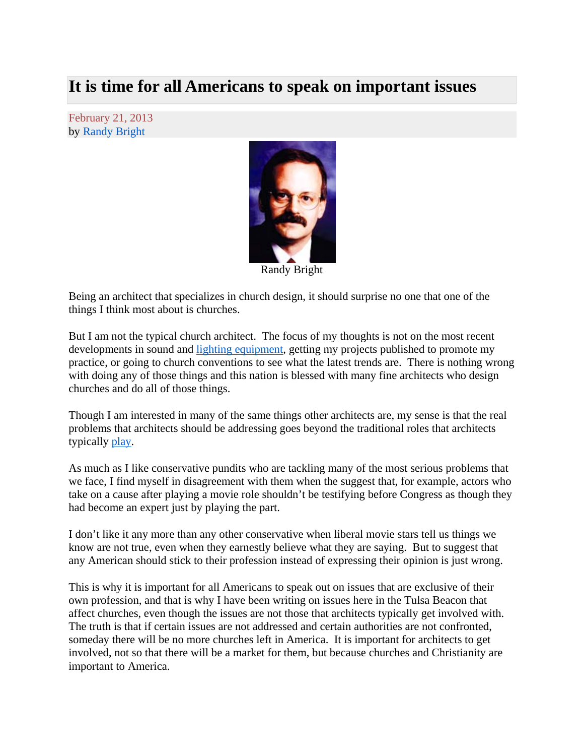## **It is time for all Americans to speak on important issues**

February 21, 2013 by Randy Bright



Randy Bright

Being an architect that specializes in church design, it should surprise no one that one of the things I think most about is churches.

But I am not the typical church architect. The focus of my thoughts is not on the most recent developments in sound and lighting equipment, getting my projects published to promote my practice, or going to church conventions to see what the latest trends are. There is nothing wrong with doing any of those things and this nation is blessed with many fine architects who design churches and do all of those things.

Though I am interested in many of the same things other architects are, my sense is that the real problems that architects should be addressing goes beyond the traditional roles that architects typically play.

As much as I like conservative pundits who are tackling many of the most serious problems that we face, I find myself in disagreement with them when the suggest that, for example, actors who take on a cause after playing a movie role shouldn't be testifying before Congress as though they had become an expert just by playing the part.

I don't like it any more than any other conservative when liberal movie stars tell us things we know are not true, even when they earnestly believe what they are saying. But to suggest that any American should stick to their profession instead of expressing their opinion is just wrong.

This is why it is important for all Americans to speak out on issues that are exclusive of their own profession, and that is why I have been writing on issues here in the Tulsa Beacon that affect churches, even though the issues are not those that architects typically get involved with. The truth is that if certain issues are not addressed and certain authorities are not confronted, someday there will be no more churches left in America. It is important for architects to get involved, not so that there will be a market for them, but because churches and Christianity are important to America.